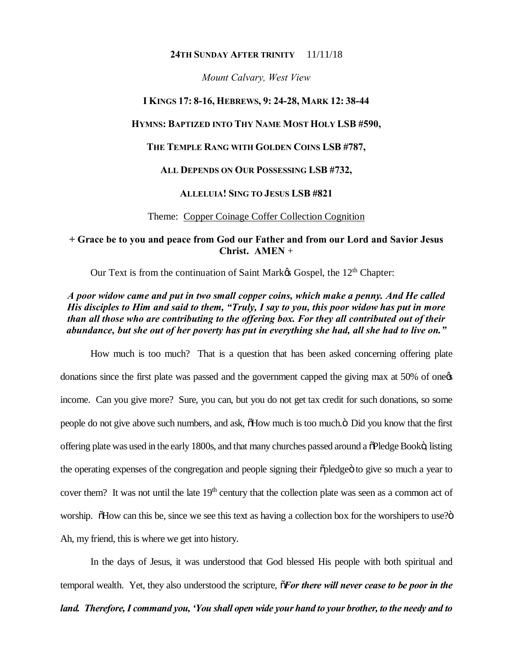#### **24TH SUNDAY AFTER TRINITY** 11/11/18

*Mount Calvary, West View*

#### **I KINGS 17: 8-16, HEBREWS, 9: 24-28, MARK 12: 38-44**

#### **HYMNS: BAPTIZED INTO THY NAME MOST HOLY LSB #590,**

#### **THE TEMPLE RANG WITH GOLDEN COINS LSB #787,**

#### **ALL DEPENDS ON OUR POSSESSING LSB #732,**

## **ALLELUIA! SING TO JESUS LSB #821**

#### Theme: Copper Coinage Coffer Collection Cognition

### **+ Grace be to you and peace from God our Father and from our Lord and Savior Jesus Christ. AMEN** +

Our Text is from the continuation of Saint Market Gospel, the 12<sup>th</sup> Chapter:

## *A poor widow came and put in two small copper coins, which make a penny. And He called His disciples to Him and said to them, "Truly, I say to you, this poor widow has put in more than all those who are contributing to the offering box. For they all contributed out of their abundance, but she out of her poverty has put in everything she had, all she had to live on."*

How much is too much? That is a question that has been asked concerning offering plate donations since the first plate was passed and the government capped the giving max at 50% of one income. Can you give more? Sure, you can, but you do not get tax credit for such donations, so some people do not give above such numbers, and ask,  $\delta$ How much is too much. $\ddot{o}$  Did you know that the first offering plate was used in the early 1800s, and that many churches passed around a  $\delta$ Pledge Bookö, listing the operating expenses of the congregation and people signing their  $\ddot{\text{op}}$  pledge to give so much a year to cover them? It was not until the late  $19<sup>th</sup>$  century that the collection plate was seen as a common act of worship. Those can this be, since we see this text as having a collection box for the worshipers to use?" Ah, my friend, this is where we get into history.

In the days of Jesus, it was understood that God blessed His people with both spiritual and temporal wealth. Yet, they also understood the scripture, "*For there will never cease to be poor in the land. Therefore, I command you, 'You shall open wide your hand to your brother, to the needy and to*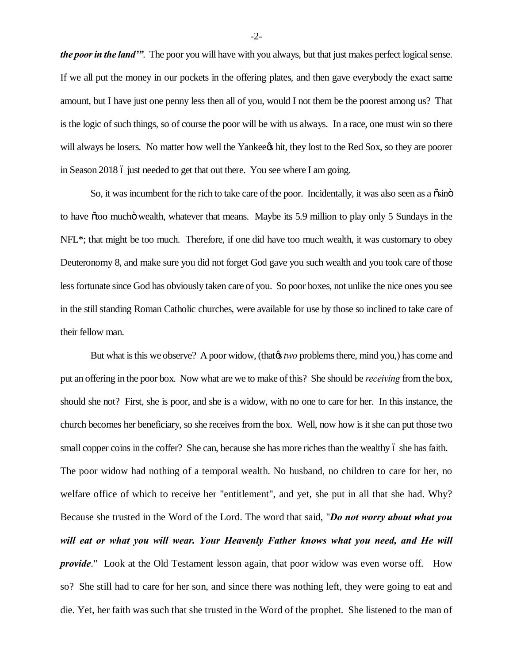*the poor in the land'"*. The poor you will have with you always, but that just makes perfect logical sense. If we all put the money in our pockets in the offering plates, and then gave everybody the exact same amount, but I have just one penny less then all of you, would I not them be the poorest among us? That is the logic of such things, so of course the poor will be with us always. In a race, one must win so there will always be losers. No matter how well the Yankee thit, they lost to the Red Sox, so they are poorer in Season 2018 6 just needed to get that out there. You see where I am going.

So, it was incumbent for the rich to take care of the poor. Incidentally, it was also seen as a osino to have  $\tilde{\alpha}$  too mucho wealth, whatever that means. Maybe its 5.9 million to play only 5 Sundays in the NFL<sup>\*</sup>; that might be too much. Therefore, if one did have too much wealth, it was customary to obey Deuteronomy 8, and make sure you did not forget God gave you such wealth and you took care of those less fortunate since God has obviously taken care of you. So poor boxes, not unlike the nice ones you see in the still standing Roman Catholic churches, were available for use by those so inclined to take care of their fellow man.

But what is this we observe? A poor widow, (that the *two* problems there, mind you,) has come and put an offering in the poor box. Now what are we to make of this? She should be *receiving* from the box, should she not? First, she is poor, and she is a widow, with no one to care for her. In this instance, the church becomes her beneficiary, so she receives from the box. Well, now how is it she can put those two small copper coins in the coffer? She can, because she has more riches than the wealthy 6 she has faith. The poor widow had nothing of a temporal wealth. No husband, no children to care for her, no welfare office of which to receive her "entitlement", and yet, she put in all that she had. Why? Because she trusted in the Word of the Lord. The word that said, "*Do not worry about what you*  will eat or what you will wear. Your Heavenly Father knows what you need, and He will *provide*." Look at the Old Testament lesson again, that poor widow was even worse off. How so? She still had to care for her son, and since there was nothing left, they were going to eat and die. Yet, her faith was such that she trusted in the Word of the prophet. She listened to the man of

-2-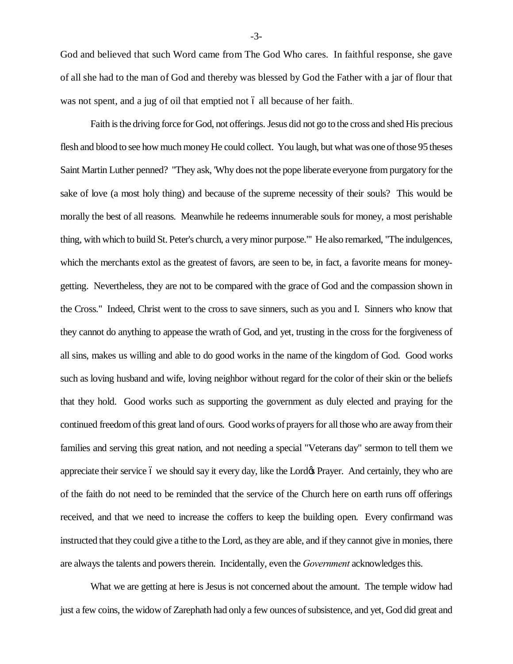God and believed that such Word came from The God Who cares. In faithful response, she gave of all she had to the man of God and thereby was blessed by God the Father with a jar of flour that was not spent, and a jug of oil that emptied not 6 all because of her faith.

Faith is the driving force for God, not offerings. Jesus did not go to the cross and shed His precious flesh and blood to see how much money He could collect. You laugh, but what was one of those 95 theses Saint Martin Luther penned? "They ask, 'Why does not the pope liberate everyone from purgatory for the sake of love (a most holy thing) and because of the supreme necessity of their souls? This would be morally the best of all reasons. Meanwhile he redeems innumerable souls for money, a most perishable thing, with which to build St. Peter's church, a very minor purpose."' He also remarked, "The indulgences, which the merchants extol as the greatest of favors, are seen to be, in fact, a favorite means for moneygetting. Nevertheless, they are not to be compared with the grace of God and the compassion shown in the Cross." Indeed, Christ went to the cross to save sinners, such as you and I. Sinners who know that they cannot do anything to appease the wrath of God, and yet, trusting in the cross for the forgiveness of all sins, makes us willing and able to do good works in the name of the kingdom of God. Good works such as loving husband and wife, loving neighbor without regard for the color of their skin or the beliefs that they hold. Good works such as supporting the government as duly elected and praying for the continued freedom of this great land of ours. Good works of prayers for all those who are away from their families and serving this great nation, and not needing a special "Veterans day" sermon to tell them we appreciate their service 6 we should say it every day, like the Lord& Prayer. And certainly, they who are of the faith do not need to be reminded that the service of the Church here on earth runs off offerings received, and that we need to increase the coffers to keep the building open. Every confirmand was instructed that they could give a tithe to the Lord, as they are able, and if they cannot give in monies, there are always the talents and powers therein. Incidentally, even the *Government* acknowledges this.

What we are getting at here is Jesus is not concerned about the amount. The temple widow had just a few coins, the widow of Zarephath had only a few ounces of subsistence, and yet, God did great and

-3-